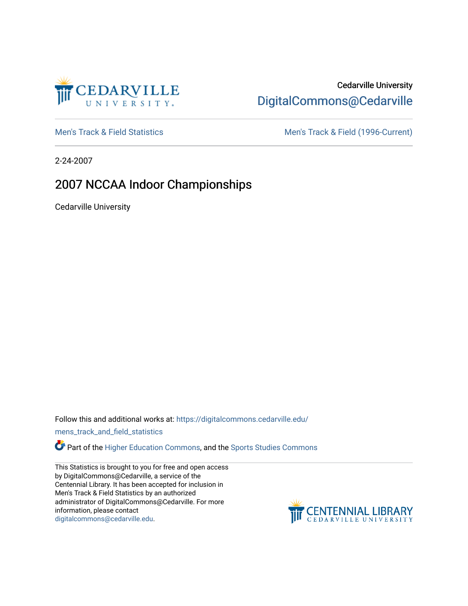

## Cedarville University [DigitalCommons@Cedarville](https://digitalcommons.cedarville.edu/)

[Men's Track & Field Statistics](https://digitalcommons.cedarville.edu/mens_track_and_field_statistics) [Men's Track & Field \(1996-Current\)](https://digitalcommons.cedarville.edu/mens_track_and_field) 

2-24-2007

# 2007 NCCAA Indoor Championships

Cedarville University

Follow this and additional works at: [https://digitalcommons.cedarville.edu/](https://digitalcommons.cedarville.edu/mens_track_and_field_statistics?utm_source=digitalcommons.cedarville.edu%2Fmens_track_and_field_statistics%2F170&utm_medium=PDF&utm_campaign=PDFCoverPages)

[mens\\_track\\_and\\_field\\_statistics](https://digitalcommons.cedarville.edu/mens_track_and_field_statistics?utm_source=digitalcommons.cedarville.edu%2Fmens_track_and_field_statistics%2F170&utm_medium=PDF&utm_campaign=PDFCoverPages)

**Part of the [Higher Education Commons,](http://network.bepress.com/hgg/discipline/1245?utm_source=digitalcommons.cedarville.edu%2Fmens_track_and_field_statistics%2F170&utm_medium=PDF&utm_campaign=PDFCoverPages) and the Sports Studies Commons** 

This Statistics is brought to you for free and open access by DigitalCommons@Cedarville, a service of the Centennial Library. It has been accepted for inclusion in Men's Track & Field Statistics by an authorized administrator of DigitalCommons@Cedarville. For more information, please contact [digitalcommons@cedarville.edu](mailto:digitalcommons@cedarville.edu).

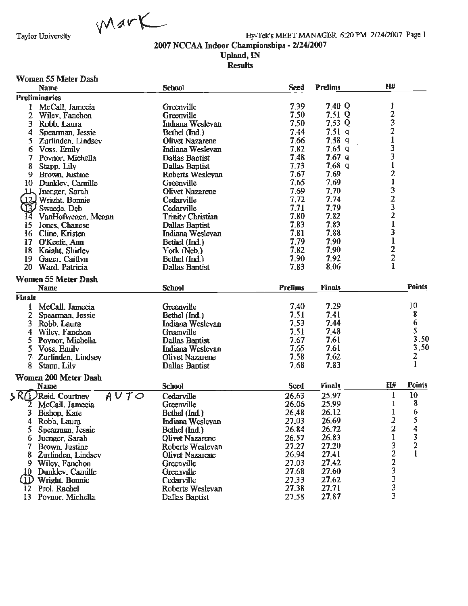

Hy-Tek's MEET MANAGER 6:20 PM 2/24/2007 Page 1

2007 NCCAA Indoor Championships - 2/24/2007

#### Upland, IN **Results**

#### Women 55 Meter Dash

| Name                          | <b>School</b>                    | <b>Seed</b>    | <b>Prelims</b> | H#             |                         |
|-------------------------------|----------------------------------|----------------|----------------|----------------|-------------------------|
| <b>Preliminaries</b>          |                                  |                |                |                |                         |
| McCall, Jamecia               | Greenville                       | 7.39           | 7.40 Q         | I              |                         |
| 2<br>Wiley, Fanchon           | Greenville                       | 7.50           | 7.51 Q         |                |                         |
| 3<br>Robb, Laura              | Indiana Wesleyan                 | 7.50           | 7.53 Q         |                |                         |
| 4<br>Spearman, Jessie         | Bethel (Ind.)                    | 7.44           | 7.51q          | $\frac{2}{3}$  |                         |
| 5<br>Zurlinden, Lindsey       | Olivet Nazarene                  | 7.66           | 7.58q          | $\mathbf{1}$   |                         |
| 6<br>Voss, Emily              | Indiana Wesleyan                 | 7.82           | $7.65$ q       | 3              |                         |
| 7<br>Poynor, Michella         | Dallas Baptist                   | 7.48           | 7.67q          | 3              |                         |
| 8<br>Stapp, Lily              | <b>Dallas Baptist</b>            | 7.73           | 7.68q          |                |                         |
| 9<br>Brown, Justine           | Roberts Wesleyan                 | 7.67           | 7.69           |                |                         |
| 10<br>Dunkley, Camille        | Greenville                       | 7.65           | 7.69           | $\frac{2}{1}$  |                         |
| Juenger, Sarah<br>LL.         | <b>Olivet Nazarene</b>           | 7.69           | 7.70           |                |                         |
| Wright, Bonnie<br>12,         | Cedarville                       | 7.72           | 7.74           | 323213         |                         |
| Sweede, Deb<br>J3)            | Cedarville                       | 7.71           | 7.79           |                |                         |
| VanHofwegen, Megan<br>14      | <b>Trinity Christian</b>         | 7.80           | 7.82           |                |                         |
| 15<br>Jones, Chanese          | Dallas Baptist                   | 7.83           | 7.83           |                |                         |
| Cline, Kristen<br>16          | Indiana Weslevan                 | 7,81           | 7.88           |                |                         |
| 17<br>O'Keefe, Ann            | Bethel (Ind.)                    | 7.79           | 7.90           | $\mathbf{1}$   |                         |
| 18<br>Knight, Shirley         | York (Neb.)                      | 7.82           | 7.90           |                |                         |
| 19<br>Gager, Caitlyn          | Bethel (Ind.)                    | 7.90           | 7.92           | $\frac{2}{2}$  |                         |
| 20<br>Ward, Patricia          | Dallas Baptist                   | 7.83           | 8.06           | $\mathbf{1}$   |                         |
|                               |                                  |                |                |                |                         |
| <b>Women 55 Meter Dash</b>    |                                  |                |                |                |                         |
| Name                          | <b>School</b>                    | <b>Prelims</b> | <b>Finals</b>  |                | <b>Points</b>           |
| <b>Finals</b>                 |                                  |                |                |                |                         |
| McCall, Jamecia<br>1          | Greenville                       | 7.40           | 7.29           |                | 10                      |
| 2<br>Spearman, Jessie         | Bethel (Ind.)                    | 7.51           | 7.41           |                | 8                       |
| 3<br>Robb. Laura              | Indiana Wesleyan                 | 7,53           | 7.44           |                | 6                       |
| 4<br>Wiley, Fanchon           | Greenville                       | 7.51           | 7.48           |                | 5                       |
| 5<br>Poynor, Michella         | Dallas Baptist                   | 7.67           | 7.61           |                | 3.50                    |
| 5<br>Voss, Emily              | Indiana Weslevan                 | 7.65           | 7.61           |                | 3,50                    |
| 7.<br>Zurlinden, Lindsey      | Olivet Nazarene                  | 7.58           | 7.62           |                | $\overline{\mathbf{c}}$ |
| 8<br>Stapp, Lily              | Dallas Baptist                   | 7.68           | 7.83           |                | $\mathbf{1}$            |
| <b>Women 200 Meter Dash</b>   |                                  |                |                |                |                         |
| Name                          | <b>School</b>                    | <b>Seed</b>    | <b>Finals</b>  | H#             | <b>Points</b>           |
| SRW<br>AUTO<br>Reid. Courtney | Cedarville                       | 26.63          | 25.97          | $\mathbf 1$    | 10                      |
| McCall, Jamecia               | Greenville                       | 26,06          | 25.99          | 1              | 8                       |
| 3<br>Bishop, Kate             | Bethel (Ind.)                    | 26,48          | 26.12          | 1              |                         |
| Robb, Laura<br>4              | Indiana Wesleyan                 | 27.03          | 26.69          | $\overline{2}$ | 6<br>5                  |
|                               |                                  | 26.84          | 26.72          | 2              | 4                       |
| Spearman, Jessie<br>C.        | Bethel (Ind.)<br>Olivet Nazarene | 26.57          | 26.83          | $\mathbf 1$    | 3                       |
| Juenger, Sarah<br>6           |                                  | 27.27          | 27.20          |                | 2                       |
| Brown, Justine                | Roberts Wesleyan                 |                |                | $\frac{3}{2}$  |                         |
| 8<br>Zurlinden, Lindsev       | Olivet Nazarene                  | 26.94          | 27.41<br>27.42 | 2              |                         |
| Wiley, Fanchon<br>9.          | Greenville                       | 27.03          |                | 3              |                         |
| Dunkley, Camille<br>10        | Greenville                       | 27.68          | 27.60          | 3              |                         |
| Wright, Bonnie<br>.1D         | Cedarville                       | 27.33          | 27.62          |                |                         |
| Prol. Rachel<br>12            | Roberts Weslevan                 | 27.38          | 27.71          | 3              |                         |
| 13<br>Povnor, Michella        | Dallas Baptist                   | 27.58          | 27.87          | 3              |                         |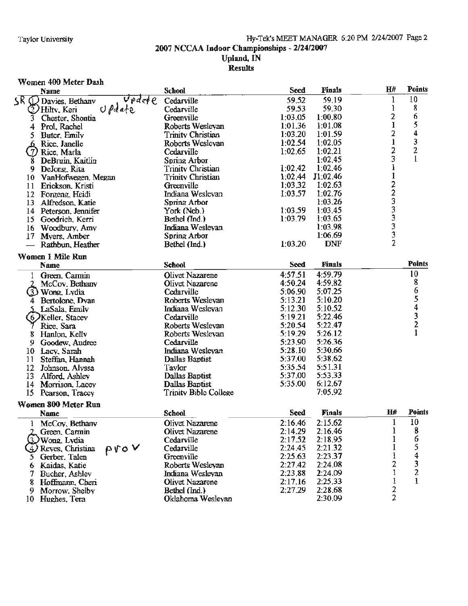#### \Vomen 400 Meter Dash **Name School School School Seed Finals H# Points** Name<br>
5P (D Davies. Bethanv Update Cedarville 59.52 59.19 1 10<br>
2) Hilty, Keri Update Cedarville 59.53 59.30 1 8 Hiltv, Keri U *Peta* + C Cedarville 59.53 59.30 l 8 3 Chester. Shontia Greenville 1:03.05 1:00.80 2 6 1 Prol, Rachel **Roberts Weslevan** 1:01.36 1:01.08 l 5<br>
5 Buter, Emily **1:03.20 1:01.59** l 5 4 *5* Buter, Emilv Trinitv Christian I :03.20 1:01.59 2 4 ~Rice.Janelle Roberts Weslevan 1:02.54 1:02.05 l 3 Rice. Marla Cedarville 1:02.65 1:02.21 2 2 8 DeBruin. Kaitlin Soriru? Arbor 1:02.45 3 1 1:02.42 1:02.46 1<br>
9 Trinity Christian 1:02.44 11:02.46 1 10 VanHofwegen, Megan Trinity Christian 1:02.44 J1:02.46 1<br>
11 Erickson, Kristi Greenville 1:03.32 1:02.63 2<br>
12 Forgeng Heidi Indiana Wesleyan 1:03.57 1:02.76 2 11 Erickson, Kristi Greenville 1:03.32 1:02.63<br>12 Forgeng Heidi 1:03.57 1:02.76 12 Foreen1t. Heidi Inctiana Weslevan 1:03.57 1:02.76 2 13 Alfredson, Katie Spring Arbor 1:03.26 1:03.26 3<br>14 Peterson, Jennifer York (Neb.) 1:03.59 1:03.45 3 14 Peterson. Jennifer York(Neb.) 1:03.59 1:03.45 3 15 Goodrich. Kerri Bethel (Ind.) 1:03.79 1:03.65 3 16 Woodbury, Amv Indiana Weslevan 1:03.98 3 17 Myers, Amber 1:06.69<br>
1.06.69 1:03.20 1:03.20 DNF  $-$  Rathbun. Heather **Women** 1 **Mile Run Name School Seed** Finals **Points**  1 Green. Carmin Olivet Nazarene 4:57.51 4:59.79 10<br>2 McCov. Bethany Olivet Nazarene 4:50.24 4:59.82 8 Wong, Lvdia Cedarville 5:06.90 5:07.25 6 4 Bertolone, Dyan Roberts Weslevan 5:06.90 5:07.25 6<br>
4 Bertolone, Dyan Roberts Weslevan 5:13.21 5:10.20 5<br>
5 LaSala, Emily Indiana Weslevan 5:12.30 5:10.52 4<br>
6 Xeller, Stacey Cedarville 5:19.21 5:22.46 3 Keller. Stacev Cedarville 5:19.21 5:22.46 3 Rice. Sara Roberts Weslevan 5:20.54 5:22.47 2 8 Hanlon. Kelly Roberts Weslevan 5:19.29 5:26.12<br>9 Goodew Audree Cedarville Cedarville 5:23.90 5:26.36 *9* Goodew,Audree Cedarville 5:23.90 5:26.36 1 O Lacv. Sarah Indiana Weslevan 5:28.10 5:30.66 11 Steffan. Hannah Dallas Baptist 5:37.00 5:38.62 12 Johnson. Alvssa **Tavlor** 5:35.54 5:51.31 13 Alford. Ashlev Dallas Baptist 5:37.00 5:53.33<br>14 Morrison. Lacev Dallas Baptist 5:35.00 6:12.67 14 Morrison. Lacev Dallas Baptist 5:35.00 6:12.67<br>15 Pearson. Tracev Trinity Bible College 7:05.92 Trinity Bible College **Women 800 Meter Run Name School School School Seed <b>Finals H# Points** 1 McCoy, Bethany **Olivet Nazarene** 2:16.46 2:15.62 1 10<br>
2 Green. Carmin Olivet Nazarene 2:14.29 2:16.46 1 8<br>
2 Wong, Lydia Cedarville 2:17.52 2:18.95 1 6 Reves. Christina  $\beta \gamma \sigma \mathsf{V}$  Cedarville 2:24.45 2:21.32 l 5 3 Wong, Lydia (Cedarville 2:17.52 2:18.95 1 6<br>
4) Reves, Christina  $\bigcap_{\text{of}} \bigcap_{\text{of}} \bigcup_{\text{of}} \bigcup_{\text{of}} \bigcup_{\text{of}} \bigcup_{\text{of}} \bigcup_{\text{of}} \bigcup_{\text{of}} \bigcup_{\text{of}} \bigcup_{\text{of}} \bigcup_{\text{of}} \bigcup_{\text{of}} \bigcup_{\text{of}} \bigcup_{\text{of}} \bigcup_{\text{of}} \bigcup_{\text{of}} \bigcup_{\text{of}} \$ 6 Kaidas. Katie Roberts Wesleyan 2:27.42 2:24.08 2 3 7 Bucher. Ashley Inctiana Weslevan 2:23.88 2:24.09 1 2 8 Hoffmann.. Cheri Olivet Nazarene 2:17.16 2:25.33 l 1 9 Morrow. Shelbv Bethel (Ind.) 2:27.29 2:28.68 2 10 Hughes. Tera 2008 2:30.000 Oklahoma Wesleyan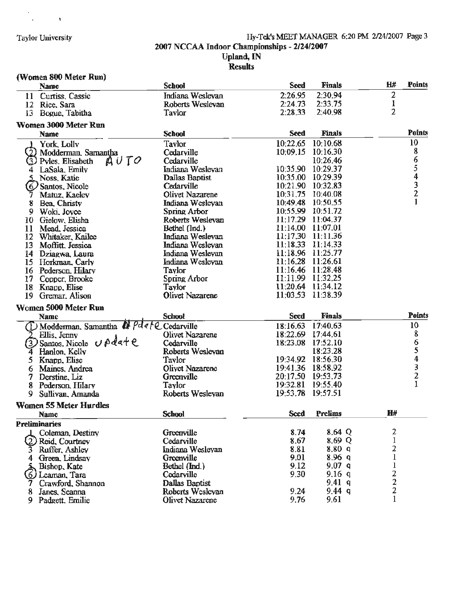$\frac{1}{2} \frac{1}{2} \frac{1}{2} \frac{1}{2} \frac{1}{2} \frac{1}{2}$ 

#### Taylor University Hy-Tek's MEET MANAGER 6:20 PM 2/24/2007 Page 3 2007 NCCAA Indoor Championships - 2/24/2007 **Upland, IN Results**

# **(Women 800 Meter Run)**

|    | <b>Name</b>                     | <b>School</b>    | <b>Seed</b>          | <b>Finals</b>        | H#             | <b>Points</b> |
|----|---------------------------------|------------------|----------------------|----------------------|----------------|---------------|
| 11 | Curtiss, Cassic                 | Indiana Weslevan | 2:26.95              | 2:30.94              | 2              |               |
| 12 | Rice, Sara                      | Roberts Weslevan | 2:24.73              | 2:33.75              | 1              |               |
| 13 | Bogue, Tabitha                  | Taylor           | 2:28.33              | 2:40.98              | $\overline{2}$ |               |
|    | Women 3000 Meter Run            |                  |                      |                      |                |               |
|    | Name                            | <b>School</b>    | <b>Seed</b>          | <b>Finals</b>        |                | <b>Points</b> |
|    |                                 | Taylor           | 10:22.65             | 10:10.68             |                | 10            |
|    | York, Lolly                     | Cedarville       | 10:09.15             | 10:16.30             |                | 8             |
|    | (2) Modderman, Samantha<br>AUTO | Cedarville       |                      | 10:26.46             |                |               |
|    | (3) Pyles, Elisabeth            | Indiana Weslevan | 10:35.90             | 10:29.37             |                |               |
|    | LaSala, Emily                   | Dallas Baptist   | 10:35.00             | 10:29.39             |                |               |
|    | Noss, Katie                     | Cedarville       | 10:21.90             | 10:32.83             |                | 65432         |
|    | 6. Santos, Nicole               | Olivet Nazarene  | 10:31.75             | 10:40.08             |                |               |
|    | Matuz, Kaeley                   |                  | 10:49.48             | 10:50.55             |                |               |
| 8  | Bea, Christy                    | Indiana Wesleyan | 10:55.99             | 10:51.72             |                |               |
| 9  | Woki, Joyce                     | Spring Arbor     | 11:17.29             | 11:04.37             |                |               |
| 10 | Gielow, Elisha                  | Roberts Weslevan | 11:14.00             | 11:07.01             |                |               |
| 11 | Mead, Jessica                   | Bethel (Ind.)    | 11:17.30             | 11:11.36             |                |               |
| 12 | Whitaker, Kailee                | Indiana Weslevan |                      |                      |                |               |
| 13 | Moffitt, Jessica                | Indiana Weslevan | 11:18.33             | 11:14.33             |                |               |
| 14 | Dziagwa, Laura                  | Indiana Weslevan | 11:18.96             | 11:25.77             |                |               |
| 15 | Horkman, Carly                  | Indiana Wesleyan | 11:16.28             | 11:26.61             |                |               |
| 16 | Pederson, Hilary                | Taylor           | 11:16.46             | 11:28.48             |                |               |
| 17 | Copper, Brooke                  | Spring Arbor     | 11:11.99<br>11:20.64 | 11:32.25             |                |               |
| 18 | Knapp, Elise                    | Taylor           |                      | 11:34.12<br>11:38.39 |                |               |
| 19 | Gremar, Alison                  | Olivet Nazarene  | 11:03.53             |                      |                |               |
|    | Women 5000 Meter Run            |                  |                      |                      |                |               |
|    | Name                            | <b>School</b>    | <b>Seed</b>          | <b>Finals</b>        |                | <b>Points</b> |
|    | 1 Modderman, Samantha & Pdale   | Cedarville       | 18:16.63             | 17:40.63             |                | 10            |
|    | Ellis, Jenny                    | Olivet Nazarene  | 18:22.69             | 17:44.61             |                | 8             |
|    | Santos. Nicole Update           | Cedarville       | 18:23.08             | 17:52.10             |                |               |
|    | Hanlon, Kelly                   | Roberts Weslevan |                      | 18:23.28             |                |               |
| 5. | Knapp, Elise                    | Tavlor           |                      | 19:34.92 18:56.30    |                | 65432         |
| 6  | Maines, Andrea                  | Olivet Nazarene  | 19:41.36             | 18:58.92             |                |               |
|    | Derstine, Liz                   | Greenville       | 20:17.50             | 19:53.73             |                |               |
| 8  | Pederson, Hilarv                | Taylor           | 19:32.81             | 19:55.40             |                |               |
| 9  | Sullivan, Amanda                | Roberts Weslevan | 19:53.78             | 19:57.51             |                |               |
|    | <b>Women 55 Meter Hurdles</b>   |                  |                      |                      |                |               |
|    | <b>Name</b>                     | <b>School</b>    | Seed                 | <b>Prelims</b>       | H#             |               |
|    | <b>Preliminaries</b>            |                  |                      |                      |                |               |
|    | Coleman, Destiny                | Greenville       | 8.74                 | 8.64 Q               | 2              |               |
|    | Reid, Courtney                  | Cedarville       | 8.67                 | 8.69 Q               | l              |               |
|    | 3 Ruffer, Ashley                | Indiana Wesleyan | 8.81                 | 8,80 q               | 2              |               |
|    | Green, Lindsay                  | Greenville       | 9.01                 | 8.96q                | $\mathbf{1}$   |               |
|    | Bishop, Kate                    | Bethel (Ind.)    | 9.12                 | 9.07 <sub>q</sub>    | ı              |               |
| Ó. | ) Leaman, Tara                  | Cedarville       | 9.30                 | 9.16q                | $\overline{c}$ |               |
|    | Crawford, Shannon               | Dallas Baptist   |                      | 9.41q                | $\overline{c}$ |               |
|    | Janes, Seanna                   | Roberts Wesleyan | 9.24                 | 9.44 g               | 2              |               |
|    | 9 Padgett, Emilie               | Olivet Nazarene  | 9.76                 | 9.61                 | $\mathbf{1}$   |               |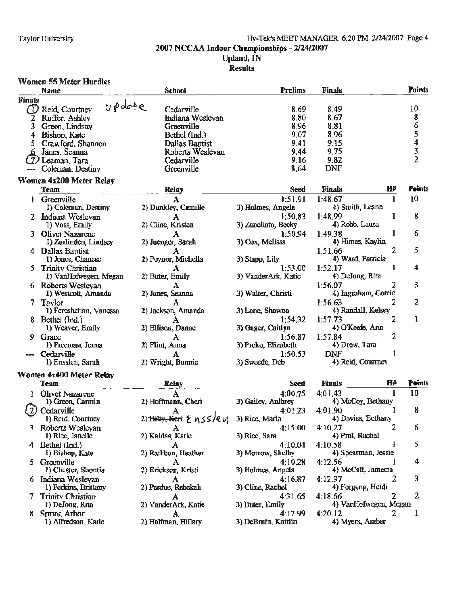#### Hy-Tek's MEET MANAGER 6:20 PM 2/24/2007 Page 4 2007 NCCAA Indoor Championships - 2/24/2007 **Upland**, IN **Results**

#### **Women 55 Meter Hurdles Points Prelims Finals Name School Finals** update  $\omega$ Reid, Courtney Cedarville 8.69 8.49 10 Ruffer, Ashley Indiana Weslevan 8.80 8.67 8 2 6 3 Green, Lindsay Greenville 8.96 8.81 5 Bethel (Ind.) 9.07 8.96 4 Bishop, Kate 9.15  $\overline{\bf{4}}$ 5 Crawford, Shannon **Dallas Baptist** 9.41 3 Janes, Seanna Roberts Weslevan 9.44 9.75  $\overline{2}$ Cedarville 9.16 9.82 (7) Leaman, Tara -- Coleman, Destiny Greenville 8.64 **DNF Women 4x200 Meter Relay**  $H#$ **Points** Seed **Finals Team Relay** 1:51.91 1:48.67 10 1 Greenville 1 A 4) Smith, Leann 1) Coleman, Destiny 2) Dunkley, Camille 3) Holmes, Angela 8 Indiana Weslevan 1:50.83 1:48.99 1  $2<sup>1</sup>$ А 4) Robb, Laura 1) Voss, Emily 2) Cline, Kristen 3) Zanellato, Becky 6 Olivet Nazarene 1:50.94 1:49.38 1 3 3) Cox, Melissa 4) Himes, Kaylin 1) Zurlinden, Lindsey 2) Juenger, Sarah 5 2 4 Dallas Bantist A 1:51.66 1) Jones, Chanese 4) Ward, Patricia 2) Poynor, Michella 3) Stapp, Lily  $\overline{\mathbf{4}}$ **Trinity Christian** 1:53.00 1 5 1:52.17 А 1) VanHofwegen, Megan 2) Buter, Emily 3) VanderArk, Katie 4) DeJong, Rita 3 6 Roberts Weslevan 1:56.07 2 A 1) Westcott, Amanda 3) Walter, Christi 4) Ingraham, Corrie 2) Janes, Seanna  $\overline{2}$ 7 Taylor 2 A 1:56.63 1) Fereshetian, Vanessa 3) Lane, Shawna 4) Randall, Kelsey 2) Jackson, Amanda  $\overline{2}$ I 8 Bethel (Ind.) 1:54.32 1:57.73 A 1) Weaver, Emily 4) O'Keefe, Ann 2) Ellison, Danae 3) Gager, Caitlyn 1:57.84 2 9 1:56.87 Grace A 1) Freeman, Jenna 2) Flint, Anna 3) Proko, Elizabeth 4) Drew, Tara **DNF**  $\mathbf{1}$ Cedarville 1:50.53 А 4) Reid, Courtney 1) Ensslen, Sarah 2) Wright, Bonnie 3) Sweede, Deb Women 4x400 Meter Relay H# Points **Team** Relay Seed **Finals** 4:00.75 4:01.43 10 Olivet Nazarene 1 ł. A 2) Hoffmann, Cheri 4) McCoy, Bethany 1) Green, Carmin 3) Gailey, Aulbrey 4:01.90 8 Cedarville 4:01.23 1 1) Reid, Courtney 2) <del>Thiy, Keri</del> & nSS/e*v*i 3) Rice, Marla 4) Davies, Bethany 3 Roberts Wesleyan 2 6  $4:15.00$ 4:10.27 1) Rice, Janelle 3) Rice, Sara 4) Prol, Rachel 2) Kaidas, Katie Bethel (Ind.) 4:10.04 1 5 4 4:10.58 А 4) Spearman, Jessie 1) Bishop, Kate 2) Rathbun, Heather 3) Morrow, Shelby Greenville 4:10.28 4:12.56 4 5 А 1) Chester, Shontia 2) Erickson, Kristi 3) Holmes, Angela 4) McCall, Jamecia Indiana Wesleyan 4:16.87 4:12.97 2 3 6 А 1) Perkins, Brittany 2) Perdue, Rebekah 3) Cline, Rachel 4) Forgeng, Heidi  $\overline{2}$ 7 **Trinity Christian** 4:31.65 4:18.66 7 A 4) VanHofwegen, Megan 1) DeJong, Rita 2) VanderArk, Katie 3) Buter, Emily 8. Spring Arbor 4:17.99 4:20.12 2 1 A 3) DeBruin, Kaitlin 1) Alfredson, Katie 2) Halfman, Hillary 4) Myers, Amber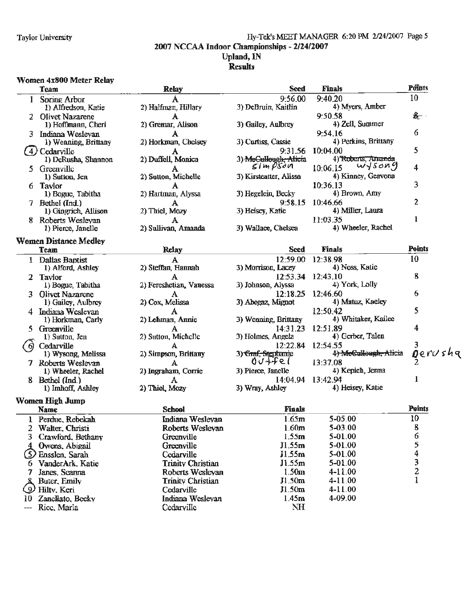#### Taylor University Hy-Tek's MEET MANAGER 6:20 PM 2/24/2007 Page *5*  2007 NCCAA Indoor Championships - 2/24/2007 Upland, IN

#### **Results**

#### \Vomen 4x800 Meter Relay

|          | 1 VIIIVII TAVVV IIEVULI INGINI<br>Team | <b>Relay</b>             | <b>Seed</b>                        | <b>Finals</b>         | Points        |
|----------|----------------------------------------|--------------------------|------------------------------------|-----------------------|---------------|
| 1        | Spring Arbor                           |                          | 9:56.00                            | 9:40.20               | 10            |
|          | 1) Alfredson, Katie                    | 2) Halfman, Hillary      | 3) DeBruin, Kaitlin                | 4) Myers, Amber       |               |
|          | 2 Olivet Nazarene                      |                          |                                    | 9:50.58               | $\frac{1}{2}$ |
|          | 1) Hoffmann, Cheri                     | 2) Gremar, Alison        | 3) Gailey, Aulbrey                 | 4) Zell, Summer       |               |
|          | 3 Indiana Wesleyan                     | A                        |                                    | 9:54.16               | 6             |
|          | 1) Wenning, Brittany                   | 2) Horkman, Chelsey      | 3) Curtiss, Cassie                 | 4) Perkins, Brittany  |               |
|          | (4) Cedarville                         | A                        | 9:31.56                            | 10:04.00              | 5             |
|          | 1) DeRusha, Shannon                    | 2) Duffell, Monica       | 3) MeCullough, Alicia              | 4) Roberts, Amanda    |               |
|          | 5 Greenville                           | A                        | $\mathcal{S}$ im $\mathcal{P}$ San | wysong<br>10:06.15    | 4             |
|          | 1) Sutton, Jen                         | 2) Sutton, Michelle      | 3) Kirsteatter, Alissa             | 4) Kinney, Geavona    |               |
|          | 6 Taylor                               |                          |                                    | 10:36.13              | 3             |
|          | 1) Bogue, Tabitha                      | А<br>2) Hartman, Alyssa  | 3) Hegelein, Becky                 | 4) Brown, Amy         |               |
|          |                                        |                          | 9:58.15                            | 10:46.66              | 2             |
|          | 7 Bethel (Ind.)                        | А<br>2) Thiel, Mozy      | 3) Heisey, Katie                   | 4) Miller, Laura      |               |
|          | 1) Gingrich, Allison                   |                          |                                    |                       | 1             |
|          | 8 Roberts Wesleyan                     | A                        |                                    | 11:03.35              |               |
|          | 1) Pierce, Janelle                     | 2) Sullivan, Amanda      | 3) Wallace, Chelsea                | 4) Wheeler, Rachel    |               |
|          | <b>Women Distance Medley</b>           |                          |                                    |                       |               |
|          | <b>Team</b>                            | Relay                    | Seed                               | <b>Finals</b>         | <b>Points</b> |
|          | 1 Dallas Baptist                       | A                        | 12:59.00                           | 12:38.98              | 10            |
|          | 1) Alford, Ashley                      | 2) Steffan, Hannah       | 3) Morrison, Lacey                 | 4) Noss, Katie        |               |
|          | 2 Taylor                               |                          | 12:53.34                           | 12:43.10              | 8             |
|          | 1) Bogue, Tabitha                      | 2) Fereshetian, Vanessa  | 3) Johnson, Alyssa                 | 4) York, Lolly        |               |
|          | Olivet Nazarene                        | A                        | 12:18.25                           | 12:46.60              | 6             |
|          | 1) Gailey, Aulbrey                     | 2) Cox, Melissa          | 3) Abegaz, Mignot                  | 4) Matuz, Kaeley      |               |
|          | 4 Indiana Weslevan                     | A                        |                                    | 12:50.42              | 5             |
|          | 1) Horkman, Carly                      | 2) Lehman, Annie         | 3) Wenning, Brittany               | 4) Whitaker, Kailee   |               |
| 5.       | Greenville                             | А                        | 14:31.23                           | 12:51.89              | 4             |
|          | 1) Sutton, Jen                         | 2) Sutton, Michelle      | 3) Holmes, Angela                  | 4) Gerber, Talen      |               |
| -61      | Cedarville                             | A                        | 12:22.84                           | 12:54.55              |               |
|          | 1) Wysong, Melissa                     | 2) Simpson, Brittany     | 3) Graf, Stgphanie                 | 4) McCullough, Alicia | Oerushq       |
|          | 7 Roberts Weslevan                     | A                        | 00 ttel                            | 13:37.08              |               |
|          | 1) Wheeler, Rachel                     | 2) Ingraham, Corrie      | 3) Pierce, Janelle                 | 4) Kepich, Jenna      |               |
|          | 8 Bethel (Ind.)                        | A                        | 14:04.94                           | 13:42.94              |               |
|          | 1) Imhoff, Ashley                      | 2) Thiel, Mozy           | 3) Wray, Ashley                    | 4) Heisey, Katie      |               |
|          |                                        |                          |                                    |                       |               |
|          | Women High Jump                        |                          |                                    |                       |               |
|          | <b>Name</b>                            | <b>School</b>            | <b>Finals</b>                      |                       | <b>Points</b> |
|          | 1 Perdue, Rebekah                      | Indiana Weslevan         | 1.65m                              | 5-05.00               | 10            |
| 2        | Walter, Christi                        | Roberts Weslevan         | 1.60m                              | 5-03.00               | 8             |
| 3.       | Crawford, Bethany                      | Greenville               | 1.55m                              | 5-01.00               | 6             |
|          | Owens, Abigail                         | Greenville               | J1.55m                             | 5-01.00               | 5             |
| (5)      | Ensslen, Sarah                         | Cedarville               | J1.55m                             | 5-01.00               | 4             |
| <u>o</u> | VanderArk, Katie                       | <b>Trinity Christian</b> | J1.55m                             | 5-01.00               |               |
| 7        | Janes, Seanna                          | Roberts Weslevan         | 1.50 <sub>m</sub>                  | 4-11.00               | $\frac{3}{2}$ |
|          | Buter, Emily                           | <b>Trinity Christian</b> | J1.50 <sub>m</sub>                 | 4-11.00               | 1             |
| رو       | Hilty, Keri                            | Cedarville               | J1.50m                             | $4 - 11.00$           |               |
|          |                                        |                          |                                    |                       |               |

10 Zancllato. Bcckv Indiana Weslevan 1.45m 4-09.00

--- Rice. Marla Cedarville Cedarville NH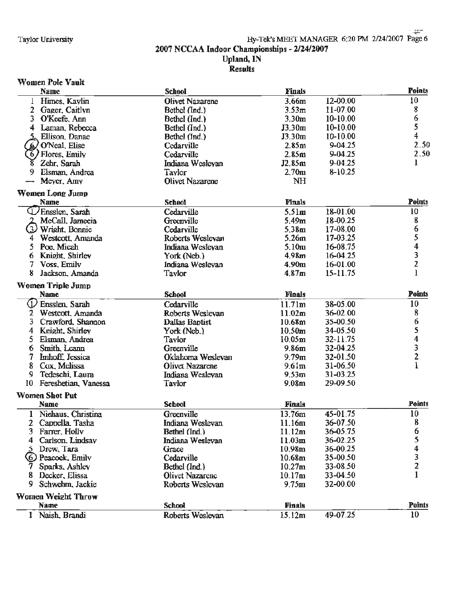#### Results

#### **Women Pole Vault**

|    | <b>Name</b>               | <b>School</b>          | <b>Finals</b>      |              | Points                  |
|----|---------------------------|------------------------|--------------------|--------------|-------------------------|
|    | 1 Himes, Kaylin           | Olivet Nazarene        | 3,66m              | 12-00.00     | 10                      |
|    | 2 Gager, Caitlyn          | Bethel (Ind.)          | 3.53 <sub>m</sub>  | 11-07.00     | 8                       |
| 3  | O'Keefe, Ann              | Bethel (Ind.)          | 3.30 <sub>m</sub>  | $10-10.00$   | 6                       |
|    | 4 Laman, Rebecca          | Bethel (Ind.)          | J3.30m             | $10-10.00$   | 5                       |
|    | Ellison, Danae            | Bethel (Ind.)          | J3.30m             | $10 - 10.00$ | 4                       |
|    | O'Neal, Elise             | Cedarville             | 2.85m              | $9 - 04.25$  | 2.50                    |
| 6/ | Flores, Emily             | Cedarville             | 2.85m              | $9 - 04.25$  | 2.50                    |
| 8  | Zehr, Sarah               | Indiana Weslevan       | J2.85m             | 9-04.25      | 1                       |
| 9  | Elsman, Andrea            | <b>Taylor</b>          | 2.70 <sub>m</sub>  | $8-10.25$    |                         |
|    | Meyer, Amy                | <b>Olivet Nazarene</b> | NH                 |              |                         |
|    | <b>Women Long Jump</b>    |                        |                    |              |                         |
|    | <b>Name</b>               | <b>School</b>          | Finals             |              | <b>Points</b>           |
|    | U Ensslen, Sarah          | Cedarville             | 5.51 <sub>m</sub>  | 18-01.00     | 10                      |
|    | McCall, Jamecia           | Greenville             | 5.49 <sub>m</sub>  | 18-00.25     | 8                       |
| 3) | Wright, Bonnie            | Cedarville             | 5.38m              | 17-08.00     | 6                       |
| 4  | Westcott, Amanda          | Roberts Weslevan       | 5.26m              | 17-03.25     | 5                       |
| 5. | Poe, Micah                | Indiana Wesleyan       | 5.10 <sub>m</sub>  | 16-08.75     | 4                       |
| 6  | Knight, Shirley           | York (Neb.)            | 4.98 <sub>m</sub>  | $16 - 04.25$ | 3                       |
| 7  | Voss, Emily               | Indiana Wesleyan       | 4.90 <sub>m</sub>  | 16-01.00     | $\overline{\mathbf{c}}$ |
| 8  | Jackson, Amanda           | Taylor                 | 4.87m              | $15 - 11.75$ | 1                       |
|    | Women Triple Jump         |                        |                    |              |                         |
|    | <b>Name</b>               | <b>School</b>          | <b>Finals</b>      |              | <b>Points</b>           |
| ℚ  | Enssten, Sarah            | Cedarville             | 11.71m             | 38-05.00     | 10                      |
| 2  | Westcott, Amanda          | Roberts Weslevan       | 11.02m             | 36-02.00     | 8                       |
| 3. | Crawford, Shannon         | Dallas Baptist         | 10.68m             | 35-00.50     | 6                       |
| 4  | Knight, Shirley           | York (Neb.)            | 10,50m             | 34-05.50     | 5                       |
| 5. | Elsman, Andrea            | Taylor                 | 10.05m             | 32-11.75     | 4                       |
| 6  | Smith Leann               | Greenville             | 9.86 <sub>m</sub>  | 32-04.25     | $\frac{3}{2}$           |
| 7  | <b>Imhoff</b> Jessica     | Oklahoma Weslevan      | 9.79 <sub>m</sub>  | 32-01.50     |                         |
| 8  | Cox, Melissa              | <b>Olivet Nazarene</b> | 9.61 <sub>m</sub>  | 31-06.50     | ı                       |
| 9  | Tedeschi, Laura           | Indiana Wesleyan       | 9.53 <sub>m</sub>  | 31-03.25     |                         |
| 10 | Fereshetian, Vanessa      | Taylor                 | 9.08 <sub>m</sub>  | 29-09.50     |                         |
|    | <b>Women Shot Put</b>     |                        |                    |              |                         |
|    | <b>Name</b>               | <b>School</b>          | <b>Finals</b>      |              | Points                  |
|    | 1 Niehaus, Christina      | Greenville             | 13.76m             | 45-01.75     | 10                      |
|    | 2 Cappella Tasha          | Indiana Weslevan       | 11.16m             | 36-07.50     | 8                       |
|    | 3 Farrer, Holly           | Bethel (Ind.)          | 11.12m             | 36-05.75     | 6                       |
| 4  | Carlson, Lindsay          | Indiana Weslevan       | 11.03m             | 36-02.25     | 5                       |
|    | Drew, Tara                | Grace                  | 10,98m             | 36-00.25     | 4                       |
|    | (6) Peacock, Emily        | Cedarville             | 10.68m             | 35-00.50     | 3                       |
|    | Sparks, Ashley            | Bethel (Ind.)          | 10,27m             | 33-08.50     | 2                       |
|    | Decker, Elissa            | <b>Olivet Nazarenc</b> | 10.17 <sub>m</sub> | 33-04.50     | 1                       |
| 9. | Schwehm, Jackie           | Roberts Weslevan       | 9.75m              | 32-00.00     |                         |
|    | <b>Women Weight Throw</b> |                        |                    |              |                         |
|    | <b>Name</b>               | <b>School</b>          | <b>Finals</b>      |              | Points                  |
|    | 1 Naish, Brandi           | Roberts Weslevan       | 15.12m             | 49-07.25     | 10                      |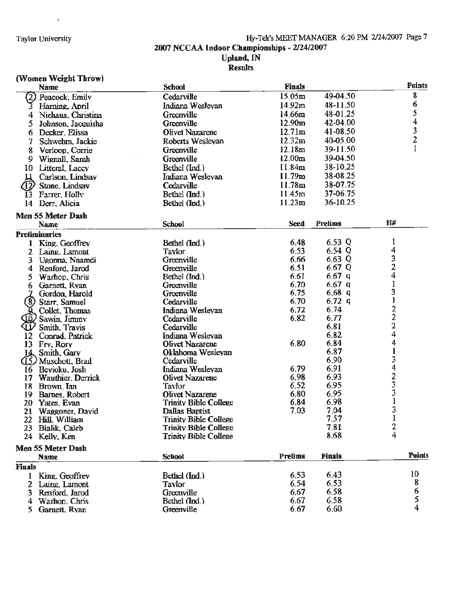# Hy-Tek's MEET MANAGER 6:20 PM 2/24/2007 Page 7<br>2007 NCCAA Indoor Championships - 2/24/2007<br>Upland, IN<br>Results

#### (Women Weight Throw)

 $\bar{t}$ 

|                   | TAANIISII AASEMA THIAMA<br>Name | <b>School</b>                | <b>Finals</b>      |                | <b>Points</b>                                   |
|-------------------|---------------------------------|------------------------------|--------------------|----------------|-------------------------------------------------|
| $\left( 2\right)$ | Peacock, Emily                  | Cedarville                   | 15.05m             | 49-04.50       | 8                                               |
| 3                 | Haming, April                   | Indiana Weslevan             | 14.92m             | 48-11.50       | 6                                               |
| 4                 | Niehaus, Christina              | Greenville                   | 14.66m             | 48-01.25       | 5                                               |
| 5                 | Johnson, Jacquisha              | Greenville                   | 12.90 <sub>m</sub> | 42-04.00       | 4                                               |
|                   | Decker, Elissa                  | <b>Olivet Nazarene</b>       | 12.71 <sub>m</sub> | 41-08.50       |                                                 |
| 6                 |                                 | Roberts Weslevan             | 12.32m             | 40-05.00       | $\frac{3}{2}$                                   |
|                   | Schwehm, Jackie                 |                              | 12.18m             | 39-11.50       | $\mathbf{1}$                                    |
| 8                 | Verloop, Corrie                 | Greenville                   |                    | 39-04.50       |                                                 |
| 9                 | Wignall, Sarah                  | Greenville                   | 12.00 <sub>m</sub> |                |                                                 |
|                   | 10 Litteral, Lacey              | Bethel (Ind.)                | 11.84m             | 38-10.25       |                                                 |
| ц                 | Carlson, Lindsay                | Indiana Wesleyan             | 11.79m             | 38-08.25       |                                                 |
| 12                | Stone, Lindsay                  | Cedarville                   | 11.78m             | 38-07.75       |                                                 |
| 13                | Farrer, Holly                   | Bethel (Ind.)                | 11.45m             | 37-06.75       |                                                 |
| 14                | Derr, Alicia                    | Bethel (Ind.)                | 11.23m             | 36-10.25       |                                                 |
|                   | Men 55 Meter Dash               |                              |                    |                |                                                 |
|                   | <b>Name</b>                     | <b>School</b>                | <b>Seed</b>        | <b>Prelims</b> | H#                                              |
|                   | <b>Preliminaries</b>            |                              |                    |                |                                                 |
|                   | 1 King, Geoffrey                | Bethel (Ind.)                | 6.48               | 6.53 $Q$       | 1                                               |
|                   | 2 Laing Lamont                  | Taylor                       | 6.53               | $6,54$ Q       | 4                                               |
| 3                 | Ugonna, Nnamdi                  | Greenville                   | 6.66               | $6,63$ Q       | $\frac{3}{2}$                                   |
| 4                 | Renford, Jarod                  | Greenville                   | 6.51               | 6.67Q          |                                                 |
| 5                 | Warhop, Chris                   | Bethel (Ind.)                | 6.61               | 6.67 $q$       | 4                                               |
| 6                 | Garnett, Ryan                   | Greenville                   | 6,70               | 6.67q          | $\mathbf 1$                                     |
|                   | Gordon, Harold                  | Greenville                   | 6.75               | 6.68q          | 3                                               |
| $\left( 8\right)$ | Starr, Samuel                   | Cedarville                   | 6.70               | $6.72$ q       | $\begin{array}{c} 1 \\ 2 \\ 2 \\ 2 \end{array}$ |
|                   | Collet, Thomas                  | Indiana Wesleyan             | 6.72               | 6.74           |                                                 |
|                   | Sawin, Jimmy                    | Cedarville                   | 6.82               | 6.77           |                                                 |
| ն լ               | Smith, Travis                   | Cedarville                   |                    | 6,81           |                                                 |
| $12 \,$           | Conrad Patrick                  | Indiana Wesleyan             |                    | 6.82           | 4                                               |
| 13                | Fry, Rory                       | Olivet Nazarene              | 6.80               | 6.84           | 4                                               |
| 14                | Smith, Gary                     | Oklahoma Wesleyan            |                    | 6,87           |                                                 |
|                   | (15) Muschott, Brad             | Cedarville                   |                    | 6.90           | 3423                                            |
|                   | 16 Bevioku, Josh                | Indiana Wesleyan             | 6.79               | 6.91           |                                                 |
| 17                | Wauthier, Derrick               | Olivet Nazarene              | 6.98               | 6.93           |                                                 |
|                   | 18 Brown, Lan                   | Taylor                       | 6.52               | 6.95           |                                                 |
| 19                | Barnes, Robert                  | Olivet Nazarene              | 6.80               | 6.95           |                                                 |
| 20                | Yates, Evan                     | <b>Trinity Bible College</b> | 6.84               | 6.98           | $\mathbf{1}$                                    |
| 21                | Waggoner, David                 | Dallas Baptist               | 7.03               | 7,04           | 3                                               |
|                   | 22 Hill, William                | <b>Trinity Bible College</b> |                    | 7.57           | $\mathbf{1}$                                    |
|                   | 23 Bialik, Caleb                | <b>Trinity Bible College</b> |                    | 7.81           | 2                                               |
|                   | 24 Kelly, Ken                   | <b>Trinity Bible College</b> |                    | 8.68           | 4                                               |
|                   | Men 55 Meter Dash               |                              |                    |                |                                                 |
|                   | <b>Name</b>                     | <b>School</b>                | Prelims            | <b>Finals</b>  | <b>Points</b>                                   |
| <b>Finals</b>     |                                 |                              |                    |                |                                                 |
|                   | King, Geoffrey                  | Bethel (Ind.)                | 6.53               | 6.43           | 10                                              |
| 2                 | Laing, Lamont                   | <b>Taylor</b>                | 6.54               | 6.53           | 8                                               |
|                   | 3 Renford, Jarod                | Greenville                   | 6.67               | 6.58           | 6                                               |
| 4                 | Warhop, Chris                   | Bethel (Ind.)                | 6.67               | 6.58           | 5                                               |
| 5.                | Garnett, Ryan                   | Greenville                   | 6.67               | 6.60           | 4                                               |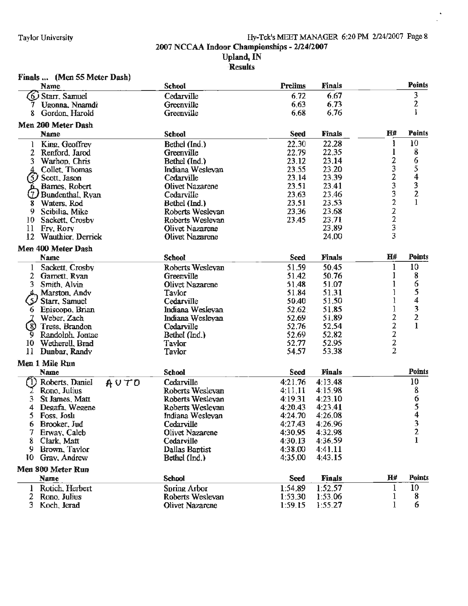#### Taylor University Hy-Tek's MEET MANAGER 6:20 PM 2/24/2007 Page 8 2007 NCCAA Indoor Championships - 2/24/2007 **Upland, IN ·R~sults**

 $\ddot{\phantom{0}}$ 

| Finals  (Men 55 Meter Dash)              |                                      |                    |                    |                                            |                         |
|------------------------------------------|--------------------------------------|--------------------|--------------------|--------------------------------------------|-------------------------|
| <b>Name</b>                              | <b>School</b>                        | <b>Prelims</b>     | <b>Finals</b>      |                                            | <b>Points</b>           |
| (6) Starr, Samuel                        | Cedarville                           | 6.72               | 6,67               |                                            | 3                       |
| Ugonna, Nnamdi                           | Greenville                           | 6.63               | 6.73               |                                            | 2                       |
| Gordon, Harold                           | Greenville                           | 6.68               | 6.76               |                                            | $\mathbf{l}$            |
| Men 200 Meter Dash                       |                                      |                    |                    | Н#                                         | <b>Points</b>           |
| <b>Name</b>                              | <b>School</b>                        | <b>Seed</b>        | <b>Finals</b>      |                                            | 10                      |
| King, Geoffrey<br>1                      | Bethel (Ind.)                        | 22.30              | 22,28              |                                            |                         |
| 2<br>Renford, Jarod                      | Greenville                           | 22.79              | 22.35              | 2                                          | 8                       |
| 3<br>Warhop, Chris                       | Bethel (Ind.)                        | 23.12<br>23.55     | 23.14<br>23.20     | 3                                          | 6<br>5                  |
| Collet. Thomas                           | Indiana Weslevan<br>Cedarville       | 23.14              | 23.39              | $\overline{c}$                             | $\overline{\mathbf{4}}$ |
| (5)<br>Scott, Jason<br>L. Barnes, Robert | <b>Olivet Nazarene</b>               | 23.51              | 23.41              | 3                                          |                         |
| U)<br>Bundenthal, Ryan                   | Cedarville                           | 23.63              | 23.46              |                                            | $\frac{3}{2}$           |
| Waters, Rod<br>8                         | Bethel (Ind.)                        | 23.51              | 23.53              | $\frac{3}{2}$                              |                         |
| 9<br>Scibilia, Mike                      | Roberts Weslevan                     | 23.36              | 23.68              |                                            |                         |
| 10<br>Sackett, Crosby                    | Roberts Weslevan                     | 23.45              | 23.71              | $\frac{2}{3}$                              |                         |
| 11<br>Fry, Rory                          | Olivet Nazarene                      |                    | 23.89              |                                            |                         |
| 12 <sup>2</sup><br>Wauthier, Derrick     | Olivet Nazarene                      |                    | 24.00              | 3                                          |                         |
| Men 400 Meter Dash                       |                                      |                    |                    |                                            |                         |
| <b>Name</b>                              | <b>School</b>                        | <b>Seed</b>        | Finals             | <b>H#</b>                                  | <b>Points</b>           |
| 1 Sackett, Crosby                        | Roberts Wesleyan                     | 51.59              | 50.45              | $\mathbf{1}$                               | 10                      |
| 2 Garnett, Ryan                          | Greenville                           | 51.42              | 50.76              | 1                                          | 8                       |
| 3.<br>Smith, Alvin                       | Olivet Nazarene                      | 51.48              | 51.07              |                                            | 6                       |
| 4.<br>Marston, Andy                      | Taylor                               | 51.84              | 51.31              |                                            | 5                       |
| ري<br>Starr, Samuel                      | Cedarville                           | 50.40              | 51.50              | l                                          | 4                       |
| Episcopo, Brian<br>6                     | Indiana Wesleyan                     | 52.62              | 51.85              | l                                          | $\frac{3}{2}$           |
| Weber, Zach                              | Indiana Wesleyan                     | 52.69              | 51.89              | 2                                          |                         |
| (8) Tress, Brandon                       | Cedarville                           | 52.76              | 52,54              | $\begin{array}{c} 2 \\ 2 \\ 2 \end{array}$ | 1                       |
| Randolph, Jontae<br>9                    | Bethel (Ind.)                        | 52.69              | 52,82              |                                            |                         |
| 10<br>Wetherell, Brad                    | Taylor                               | 52.77              | 52.95              |                                            |                         |
| 11<br>Dunbar, Randy                      | Taylor                               | 54.57              | 53.38              |                                            |                         |
| Men 1 Mile Run                           |                                      |                    |                    |                                            | <b>Points</b>           |
| <b>Name</b><br>(1)                       | <b>School</b>                        | <b>Seed</b>        | <b>Finals</b>      |                                            | 10                      |
| Roberts, Daniel<br>AUTD                  | Cedarville                           | 4:21.76            | 4:13.48            |                                            | 8                       |
| Rono, Julius                             | Roberts Wesleyan<br>Roberts Weslevan | 4:11.11<br>4:19.31 | 4:15.98<br>4:23.10 |                                            | 6                       |
| St James, Matt<br>4<br>Degafa, Wegene    | Roberts Weslevan                     | 4:20.43            | 4:23.41            |                                            | 5                       |
| 5 Foss, Josh                             | Indiana Wesleyan                     | 4:24.70            | 4:26.08            |                                            | 4                       |
| Brooker, Jud<br>6                        | Cedarville                           | 4:27.43            | 4:26.96            |                                            | 3                       |
| 7<br>Erway, Caleb                        | Olivet Nazarene                      | 4:30.95            | 4:32.98            |                                            | $\overline{\mathbf{c}}$ |
| Clark, Matt<br>8                         | Cedarville                           | 4:30.13            | 4:36.59            |                                            | 1                       |
| Brown, Taylor<br>9.                      | Dallas Baptist                       | 4:38.00            | 4:41.11            |                                            |                         |
| Gray, Andrew<br>10                       | Bethel (Ind.)                        | 4:35.00            | 4:43.15            |                                            |                         |
| Men 800 Meter Run                        |                                      |                    |                    |                                            |                         |
| Name                                     | <b>School</b>                        | <b>Seed</b>        | <b>Finals</b>      | H#                                         | <b>Points</b>           |
| 1 Rotich Herbert                         | Spring Arbor                         | 1:54.89            | 1:52.57            | 1                                          | 10                      |
| 2 Rono, Julius                           | Roberts Weslevan                     | 1:53.30            | 1:53.06            | 1                                          | 8                       |
| 3 Koch, Jerad                            | <b>Olivet Nazarcne</b>               | 1:59.15            | 1:55.27            | 1                                          | 6                       |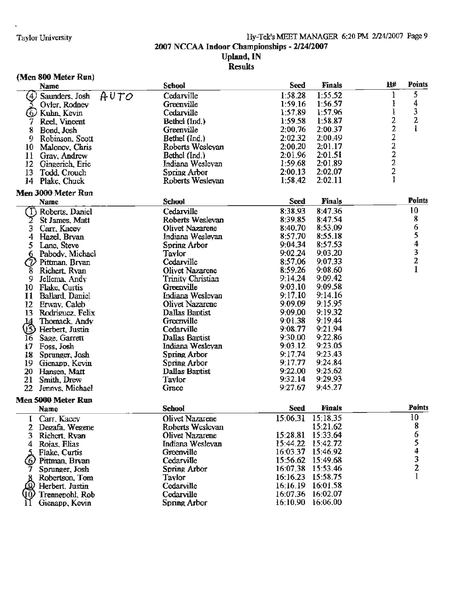#### Hy-Tek's MEET MANAGER 6:20 PM 2/24/2007 Page 9 2007 NCCAA Indoor Championships - 2/24/2007 Upland, IN Results

#### (Men 800 Meter Run)

| Name                |                        | School                   | <b>Seed</b> | <b>Finals</b> | H#                                                | <b>Points</b>           |
|---------------------|------------------------|--------------------------|-------------|---------------|---------------------------------------------------|-------------------------|
| (4)                 | AUTO<br>Saunders, Josh | Cedarville               | 1:58.28     | 1:55.52       | ŀ                                                 | 5                       |
|                     | Oyler, Rodney          | Greenville               | 1:59.16     | 1:56.57       | l                                                 | 4                       |
| (6) Kuhn, Kevin     |                        | Cedarville               | 1:57.89     | 1:57.96       | $\bf{l}$                                          | 3                       |
| 7                   | Reel, Vincent          | Bethel (Ind.)            | 1:59.58     | 1:58.87       | 2                                                 | 2                       |
| 8<br>Bond, Josh     |                        | Greenville               | 2:00.76     | 2:00.37       |                                                   |                         |
| 9                   | Robinson, Scott        | Bethel (Ind.)            | 2:02.32     | 2:00.49       | $\begin{array}{c}\n2 \\ 2 \\ 2 \\ 2\n\end{array}$ |                         |
| 10                  | Maloney, Chris         | Roberts Wesleyan         | 2:00.20     | 2:01.17       |                                                   |                         |
| $\mathbf{11}$       | Gray, Andrew           | Bethel (Ind.)            | 2:01.96     | 2:01.51       |                                                   |                         |
| 12                  | Gingerich, Eric        | Indiana Wesleyan         | 1:59.68     | 2:01.89       |                                                   |                         |
| 13                  | Todd. Crouch           | Spring Arbor             | 2:00.13     | 2:02.07       | $\overline{\mathbf{c}}$                           |                         |
| 14 Plake, Chuck     |                        | Roberts Wesleyan         | 1:58.42     | 2:02.11       | $\mathbf{I}$                                      |                         |
| Men 3000 Meter Run  |                        |                          |             |               |                                                   |                         |
| <b>Name</b>         |                        | <b>School</b>            | <b>Seed</b> | <b>Finals</b> |                                                   | <b>Points</b>           |
| (T)                 | Roberts, Daniel        | Cedarville               | 8:38.93     | 8:47.36       |                                                   | 10                      |
| 2                   | St James, Matt         | Roberts Weslevan         | 8:39.85     | 8:47.54       |                                                   | 8                       |
| 3<br>Сап, Касеу     |                        | Olivet Nazarene          | 8:40.70     | 8:53.09       |                                                   | 6                       |
| 4<br>Hazel, Bryan   |                        | Indiana Wesleyan         | 8:57.70     | 8:55.18       |                                                   | 5                       |
| 5<br>Lane, Steve    |                        | Spring Arbor             | 9:04.34     | 8:57.53       |                                                   | $\overline{\mathbf{4}}$ |
|                     | 6 Pabody, Michael      | <b>Taylor</b>            | 9:02.24     | 9:03.20       |                                                   |                         |
| $\mathcal{D}$       | Pittman, Bryan         | Cedarville               | 8:57.06     | 9:07.33       |                                                   | $\frac{3}{2}$           |
| 8                   | Richert, Ryan          | <b>Olivet Nazarene</b>   | 8:59.26     | 9:08.60       |                                                   | $\mathbf{1}$            |
| 9                   | Jellema, Andy          | <b>Trinity Christian</b> | 9:14.24     | 9:09.42       |                                                   |                         |
| 10 Flake, Curtis    |                        | Greenville               | 9:03.10     | 9:09.58       |                                                   |                         |
| 11                  | <b>Ballard, Daniel</b> | Indiana Weslevan         | 9:17.10     | 9:14.16       |                                                   |                         |
| 12<br>Erway, Caleb  |                        | Olivet Nazarene          | 9:09.09     | 9:15.95       |                                                   |                         |
| 13                  | Rodriguez, Felix       | Dallas Baptist           | 9:09.00     | 9:19.32       |                                                   |                         |
|                     | Thomack Andy           | Greenville               | 9:01.38     | 9:19.44       |                                                   |                         |
| త్తి                | Herbert, Justin        | Cedarville               | 9:08.77     | 9:21.94       |                                                   |                         |
| Sage, Garrett<br>16 |                        | Dallas Baptist           | 9:30.00     | 9:22.86       |                                                   |                         |
| 17<br>Foss, Josh    |                        | Indiana Wesleyan         | 9:03.12     | 9:23.05       |                                                   |                         |
| 18                  | Sprunger, Josh         | Spring Arbor             | 9:17.74     | 9:23.43       |                                                   |                         |
| 19                  | Gienapp, Kevin         | Spring Arbor             | 9:17.77     | 9:24.84       |                                                   |                         |
| 20<br>Hansen, Matt  |                        | Dallas Baptist           | 9:22.00     | 9:25.62       |                                                   |                         |
| 21<br>Smith, Drew   |                        | Taylor                   | 9:32.14     | 9:29.93       |                                                   |                         |
| 22                  | Jennys, Michael        | Grace                    | 9:27.67     | 9:45.27       |                                                   |                         |
| Men 5000 Meter Run  |                        |                          |             |               |                                                   |                         |
| Name                |                        | <b>School</b>            | <b>Seed</b> | <b>Finals</b> |                                                   | <b>Points</b>           |
| 1 Carr, Kacey       |                        | Olivet Nazarene          | 15:06.31    | 15:18.35      |                                                   | 10                      |
| 2                   | Degafa Wegene          | Roberts Weslevan         |             | 15:21.62      |                                                   | 8                       |
| 3.<br>Richert, Ryan |                        | Olivet Nazarene          | 15:28.81    | 15:33.64      |                                                   | 6                       |
| Rojas, Elias<br>4   |                        | Indiana Wesleyan         | 15:44.22    | 15:42.72      |                                                   | 5                       |
| Flake, Curtis       |                        | Greenville               | 16:03.37    | 15:46.92      |                                                   | 4                       |
| 6.                  | Pittman, Bryan         | Cedarville               | 15:56.62    | 15:49.68      |                                                   | $\frac{3}{2}$           |
|                     | Sprunger, Josh         | Spring Arbor             | 16:07.38    | 15:53.46      |                                                   |                         |
|                     | Robertson, Tom         | Tavlor                   | 16:16.23    | 15:58.75      |                                                   | $\mathbf{1}$            |
|                     | Herbert, Justin        | Cedarville               | 16:16.19    | 16:01.58      |                                                   |                         |
| JO,                 | Trennepohl, Rob        | Cedarville               | 16:07.36    | 16:02.07      |                                                   |                         |
|                     | Gienapp, Kevin         | Spring Arbor             | 16:10.90    | 16:06.00      |                                                   |                         |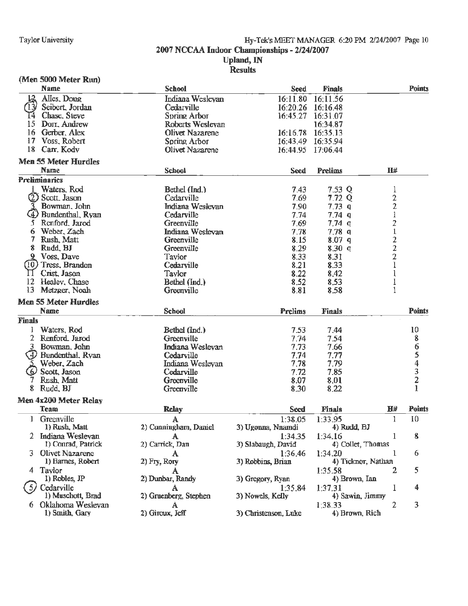#### Taylor University **Hy-Tek's MEET MANAGER 6:20 PM 2/24/2007** Page 10 2007 NCCAA Indoor Championships - 2/24/2007 Upland, IN **Results**

#### (Men 5000 Meter Run)

|               | <b>Name</b>                                | <b>School</b>          | Seed                 | <b>Finals</b>             |                | <b>Points</b> |
|---------------|--------------------------------------------|------------------------|----------------------|---------------------------|----------------|---------------|
|               | Alles, Doug                                | Indiana Wesleyan       | 16:11.80             | 16:11.56                  |                |               |
|               | Seibert, Jordan                            | Cedarville             | 16:20.26             | 16:16.48                  |                |               |
| Ι4            | Chase, Steve                               | Spring Arbor           | 16:45.27             | 16:31.07                  |                |               |
| 15            | Dorr, Andrew                               | Roberts Wesleyan       |                      | 16:34.87                  |                |               |
| 16            | Gerber, Alex                               | <b>Olivet Nazarene</b> | 16:16.78             | 16:35.13                  |                |               |
| 17            | Voss, Robert                               | Spring Arbor           | 16:43.49             | 16:35.94                  |                |               |
| 18            | Carr, Kodv                                 | Olivet Nazarene        | 16:44.95             | 17:06.44                  |                |               |
|               | Men 55 Meter Hurdles                       |                        |                      |                           |                |               |
|               | <b>Name</b>                                | <b>School</b>          | <b>Seed</b>          | <b>Prelims</b>            | $\Pi$ #        |               |
|               | <b>Preliminaries</b>                       |                        |                      |                           |                |               |
|               | Waters, Rod                                | Bethel (Ind.)          | 7.43                 | 7.53 Q                    | 1              |               |
|               | 2) Scott, Jason                            | Cedarville             | 7.69                 | 7.72Q                     |                |               |
|               | Bowman, John                               | Indiana Weslevan       | 7.90                 | 7.73q                     | $\frac{2}{2}$  |               |
|               | <b>Bundenthal, Ryan</b>                    | Cedarville             | 7.74                 | 7.74q                     | $\mathbf{1}$   |               |
| 5             | Renford, Jarod                             | Greenville             | 7.69                 | $7.74$ q                  | $\overline{2}$ |               |
| 6             | Weber, Zach                                | Indiana Weslevan       | 7.78                 | 7.78 <sub>q</sub>         | $\mathbf{1}$   |               |
| 7.            | <b>Rush Matt</b>                           | Greenville             | 8.15                 | 8.07q                     |                |               |
| 8             | Rudd, BJ                                   | Greenville             | 8.29                 | 8.30q                     | $\frac{2}{2}$  |               |
|               | 9 Voss, Dave                               | Taylor                 | 8.33                 | 8.31                      |                |               |
| (10           | Tress, Brandon                             | Cedarville             | 8.21                 | 8.33                      |                |               |
| П             | Crist, Jason                               |                        | 8.22                 |                           |                |               |
| 12            | Healey, Chase                              | Taylor                 |                      | 8.42                      |                |               |
| 13            | Metzger, Noah                              | Bethel (Ind.)          | 8.52                 | 8,53                      | 1              |               |
|               |                                            | Greenville             | 8.81                 | 8.58                      |                |               |
|               | <b>Men 55 Meter Hurdles</b>                |                        |                      |                           |                |               |
|               |                                            |                        |                      |                           |                |               |
|               | <b>Name</b>                                | <b>School</b>          | <b>Prelims</b>       | <b>Finals</b>             |                | <b>Points</b> |
| <b>Finals</b> |                                            |                        |                      |                           |                |               |
|               | Waters, Rod                                | Bethel (Ind.)          | 7.53                 | 7.44                      |                | 10            |
| 2             | Renford Jarod                              | Greenville             | 7.74                 | 7.54                      |                | 8             |
|               | Bowman, John                               | Indiana Weslevan       | 7.73                 | 7.66                      |                | 6             |
|               | 4) Bundenthal, Ryan                        | Cedarville             | 7.74                 | 7.77                      |                |               |
|               | Weber, Zach                                | Indiana Wesleyan       | 7.78                 | 7.79                      |                |               |
| :6            | Scott, Jason                               | Cedarville             | 7.72                 | 7.85                      |                |               |
|               | <b>Rush Matt</b>                           | Greenville             | 8.07                 | 8.01                      |                | 5432          |
| 8             | Rudd, BJ                                   | Greenville             | 8.30                 | 8.22                      |                | 1             |
|               | Men 4x200 Meter Relay                      |                        |                      |                           |                |               |
|               | Team                                       | <b>Relay</b>           | <b>Seed</b>          | Finals                    | H#             | <b>Points</b> |
| 1             |                                            | А                      |                      |                           | 1              | 10            |
|               | Greenville<br>1) Rush, Matt                |                        | 1:38.05              | 1:33.95                   |                |               |
|               |                                            | 2) Cunningham, Daniel  | 3) Ugonna, Nnamdi    | 4) Rudd, BJ               | 1              |               |
|               | Indiana Wesleyan                           | A                      | 1:34.35              | 1:34.16                   |                | 8             |
|               | 1) Conrad, Patrick                         | 2) Carrick, Dan        | 3) Slabaugh, David   | 4) Collet, Thomas         | L.             |               |
|               | 3 Olivet Nazarene                          | A                      | 1:36.46              | 1:34.20                   |                | 6             |
|               | 1) Barnes, Robert                          | 2) Fry, Rory           | 3) Robbins, Brian    | 4) Ticknor, Nathan        |                |               |
|               | 4 Taylor                                   |                        |                      | 1:35.58                   | 2              | 5             |
|               | 1) Robles, JP                              | 2) Dunbar, Randy       | 3) Gregory, Ryan     | 4) Brown, Ian             |                |               |
| -57           | Cedarville                                 | A                      | 1:35.84              | 1:37.31                   | 1              | 4             |
|               | 1) Muschott, Brad                          | 2) Gruenberg, Stephen  | 3) Nowels, Kelly     | 4) Sawin, Jimmy           |                |               |
|               | <b>Oklahoma Weslevan</b><br>1) Smith, Gary | A<br>2) Giroux, Jeff   | 3) Christenson, Luke | 1:38.33<br>4) Brown, Rich | 2              | 3             |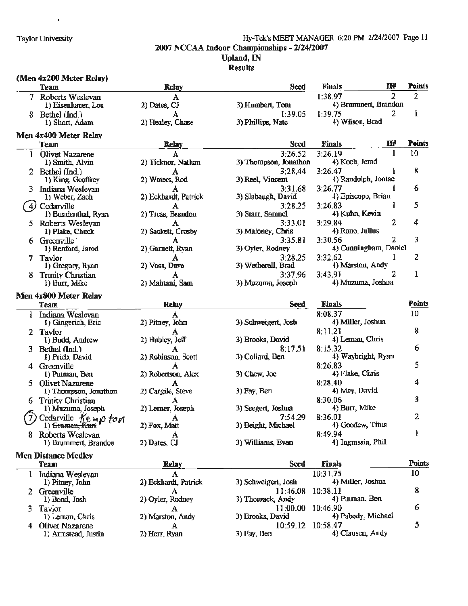#### Taylor University Hy-Tek's MEET MANAGER 6:20 PM 2/24/2007 Page 11 **2007 NCCAA Indoor Championships** - **2/24/2007 Upland,IN**

### Results

#### **(Men 4x200 Meter Relay)**

 $\mathbf{r}$ 

|    | (ITACH 4AZUU ITACACI INCIAY)<br>Team      | <b>Relay</b>         | <b>Seed</b>                   | H#<br><b>Finals</b>              | <b>Points</b> |
|----|-------------------------------------------|----------------------|-------------------------------|----------------------------------|---------------|
|    | 7 Roberts Weslevan                        | A                    |                               | 2<br>1:38.97                     | 2             |
|    | 1) Eisenhauer, Lou                        | 2) Dates, CJ         | 3) Humbert, Tom               | 4) Brummert, Brandon             |               |
|    | 8 Bethel (Ind.)<br>1) Short, Adam         | А                    | I:39.05                       | 2<br>1:39.75<br>4) Wilson, Brad  | 1             |
|    |                                           | 2) Healey, Chase     | 3) Phillips, Nate             |                                  |               |
|    | Men 4x400 Meter Relay                     |                      |                               | Н#<br><b>Finals</b>              | <b>Points</b> |
|    | Team                                      | <b>Relay</b>         | <b>Seed</b><br>3:26.52        | 1<br>3:26.19                     | 10            |
| L  | <b>Olivet Nazarene</b><br>1) Smith, Alvin | 2) Ticknor, Nathan   | 3) Thompson, Jonathon         | 4) Koch, Jerad                   |               |
|    | 2 Bethel (Ind.)                           |                      | 3:28.44                       | 3:26.47<br>Ł                     | 8             |
|    | 1) King, Geoffrey                         | 2) Waters, Rod       | 3) Reel, Vincent              | 4) Randolph, Jontae              |               |
|    | 3 Indiana Weslevan                        | A                    | 3:31.68                       | 1<br>3:26.77                     | 6             |
|    | 1) Weber, Zach                            | 2) Eckhardt, Patrick | 3) Slabaugh, David            | 4) Episcopo, Brian               |               |
|    | Cedarville                                | A                    | 3:28.25                       | 3:26.83<br>1                     | 5             |
|    | 1) Bundenthal, Ryan                       | 2) Tress, Brandon    | 3) Starr, Samuel              | 4) Kuhn, Kevin                   |               |
|    | 5 Roberts Wesleyan                        | A                    | 3:33.01                       | 2<br>3:29.84                     | 4             |
|    | 1) Plake, Chuck                           | 2) Sackett, Crosby   | 3) Maloney, Chris             | 4) Rono, Julius                  |               |
|    | 6 Greenville                              |                      | 3:35.81                       | 2<br>3:30.56                     | 3             |
|    | 1) Renford, Jarod                         | 2) Garnett, Ryan     | 3) Oyler, Rodney              | 4) Cunningham, Daniel            |               |
|    | 7 Taylor<br>1) Gregory, Ryan              | А<br>2) Voss, Dave   | 3:28.25<br>3) Wetherell, Brad | 3:32.62<br>1<br>4) Marston, Andy | 2             |
| 8. | <b>Trinity Christian</b>                  |                      | 3:37.96                       | 2<br>3:43.91                     | ı             |
|    | 1) Burr, Mike                             | 2) Mahtani, Sam      | 3) Muzuma, Joseph             | 4) Muzuma, Joshna                |               |
|    |                                           |                      |                               |                                  |               |
|    | Men 4x800 Meter Relay                     |                      | <b>Seed</b>                   | <b>Finals</b>                    | <b>Points</b> |
|    | <b>Team</b>                               | <b>Relay</b>         |                               | 8:08.37                          | 10            |
|    | 1 Indiana Weslevan<br>1) Gingerich, Eric  | 2) Pitney, John      | 3) Schweigert, Josh           | 4) Miller, Joshua                |               |
|    | 2 Taylor                                  |                      |                               | 8:11.21                          | 8             |
|    | 1) Budd, Andrew                           | 2) Hubley, Jeff      | 3) Brooks, David              | 4) Leman, Chris                  |               |
|    | 3 Bethel (Ind.)                           | A                    | 8:17.51                       | 8:15.32                          | 6             |
|    | 1) Prieb, David                           | 2) Robinson, Scott   | 3) Collard, Ben               | 4) Waybright, Ryan               |               |
|    | 4 Greenville                              | А                    |                               | 8:26.83                          | 5             |
|    | 1) Putman, Ben                            | 2) Robertson, Alex   | 3) Chew, Joe                  | 4) Flake, Chris                  |               |
| 5. | Olivet Nazarene                           | А                    |                               | 8:28.40                          |               |
|    | 1) Thompson, Jonathon                     | 2) Cargile, Steve    | $3)$ Fay, Ben                 | 4) May, David                    |               |
| 6  | <b>Trinity Christian</b>                  | А                    |                               | 8:30.06                          | 3             |
|    | 1) Muzuma, Joseph                         | 2) Lerner, Joseph    | 3) Seegert, Joshua            | 4) Burr, Mike<br>8:36.01         | 2             |
|    | Cedarville Kempton<br>1) Greman, Kurt     | A<br>2) Fox, Matt    | 7:54.29<br>3) Beight, Michael | 4) Goodew, Titus                 |               |
|    | 8 Roberts Weslevan                        |                      |                               | 8:49.94                          | 1             |
|    | 1) Brummert, Brandon                      | 2) Dates, CJ         | 3) Williams, Evan             | 4) Ingrassia, Phil               |               |
|    | <b>Men Distance Medlev</b>                |                      |                               |                                  |               |
|    | <b>Team</b>                               | <b>Relay</b>         | <b>Seed</b>                   | <b>Finals</b>                    | <b>Points</b> |
| 1  | Indiana Weslevan                          | A                    |                               | 10:31.75                         | 10            |
|    | 1) Pitney, John                           | 2) Eckhardt, Patrick | 3) Schweigert, Josh           | 4) Miller, Joshua                |               |
|    | 2 Greenville                              | A                    | 11:46.08                      | 10:38.11                         | 8             |
|    | 1) Bond, Josh                             | 2) Oyler, Rodney     | 3) Thomack, Andy              | 4) Putman, Ben                   |               |
| 3. | Taylor                                    | A                    | 11:00.00                      | 10:46.90                         | 6             |
|    | 1) Leman, Chris                           | 2) Marston, Andy     | 3) Brooks, David              | 4) Pabody, Michael               |               |
|    | 4 Olivet Nazarene                         | A                    | 10:59.12                      | 10:58.47                         | 5             |
|    | 1) Armstead, Justin                       | 2) Herr, Ryan        | 3) Fay, Ben                   | 4) Clausen, Andy                 |               |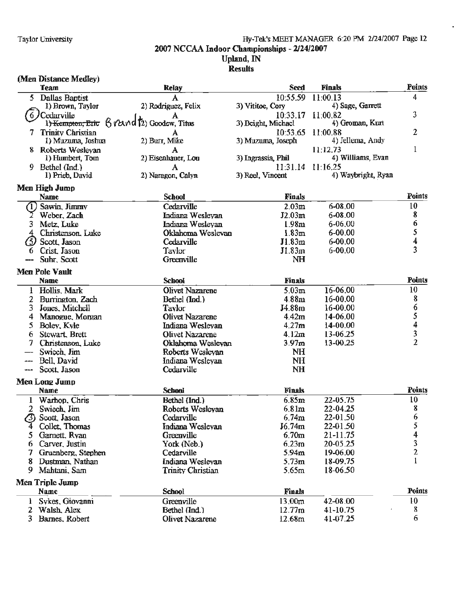#### Taylor University Hy•Tek's MEET MANAGER 6:20 PM 2/24/2007 Page 12 2007 NCCAA Indoor Championships - 2/24/2007 Upland, JN **Results**

#### (Men Distance Medley) **Team Relay Seed Finals Points** *5* Dallas Baotist A 10:55.59 11:00.13 4<br>1) Brown, Taylor 2) Rodriguez, Felix 3) Vititoe, Cory 4) Sage, Garrett Cedarville **10:33.17** 11:00.82<br> **1) Kempton, Eric**  $\upbeta$  (2) Goodew, Titus 3) Beight, Michael 4) Groman, Kurt 10:33.17 11:00.82 3) Beight, Michael 4) Groman, Kurt 7 Trinity Christian 10:53.65 11:00.88 2<br>
1) Muzuma, Joshua 2) Burr, Mike 3) Muzuma, Joseph 4) Jellema, Andy 3) Muzuma, Joseph 8 Roberts Wesleyan **A** 11:12.73 1<br>
1) Humbert, Tom 2) Eisenhauer, Lou 3) Ingrassia, Phil 4) Williams, Evan l) Humbert, Tom 2) Eisenhauer, Lou 3) Ingrassia. **Phil** 4) Williams, Evan 9 Bethel (Ind.) <br>
11:31.14 11:16.25<br>
11:31.14 11:16.25<br>
2) Naragon, Calyn 3) Reel, Vincent 4) 4) Waybright, Ryan **Men Hia:h Jump Name** School Finals Points **Points** Cedarville 2.03m 6-08.00 10<br>
Cedarville 2.03m 6-08.00 10 (1) Sawin, Jimmy Cedarville 2.03m 6-08.00 10<br>
2 Weber, Zach Indiana Wesleyan J2.03m 6-08.00 8<br>
3 Metz, Luke Indiana Wesleyan 1.98m 6-06.00 6 3 Metz, Luke Indiana Weslevan 1.98m 6-06.00 6<br>
4 Christenson, Luke Oklahoma Weslevan 1.83m 6-00.00 5 **Scott, Jason** Cedarville Jl.83m 6-00.00 4 6 Crist. Jason Tavlor Jl.83m 6·00.00 3 -- Suhr. Scott Greenville NH **Men Pole Vault Name School Finals Points**  1 Hollis. Mark Olivet Nazarene 5.03m 16-06.00 10 2 Burrirurton.. Zach Bethel (Ind. l 4.88m 16-00.00 8 3 Jones, Mitchell **Tavlor** Tavlor J4.88m 16-00.00 6<br>4 Manogue, Morgan **16-00.00** 5 4 Manomie. Moman Olivet Nazarene 4.42m 14-06.00 5 **Findiana Weslevan 14.27m 14-00.00 4**<br> **6 11 Colliver Nazarene** 13.06.25 5 4.12m 13-06.25 6 Stewart. Brett Olivet Nazarene 4.12m 13-06.25 3 7 Christenson, Luke Oklahoma Weslevan 3.97m Swiech. Jim Roberts Weslevan NH Bell, David **Indiana Weslevan** NH Scott. Jason Cedarville NH Men Lone Jump Name **School Finals Points**  1 Warhop. Chris **10**<br>
2 Swiech Jim **Bethel (Ind.)** 6.85m 22-05.75 10<br>
8 Swiech Jim **Roberts Weslevan** 6.81m 22-04.25 8 2 Swiech.. Jim Roberts Weslevan 6.81m 22-04.25 8  $\bullet$  Scott, Jason Cedarville 6.74m 22-01.50 6 4 Collet. Thomas Indiana Wesleyan J6.74m 22--01.50 *5*  5 Garnett, Ryan Greenville 6.70m 21-11.75 4<br>6 Carver, Justin York (Neb.) 6.23m 20-05.25 3 6 Carver. Justin York (Neb.) 6.23m 20·05.25 3 7 Gruenberg, Stephen Cedarville 5.94m 19-06.00 8 Dustman, Nathan Indiana Weslevan 5.73m 18-09.75 1 9 Mahtani. Sam Trinitv Christian 5.65m 18-06.50 **Men Triple Jump Name School** Finals Points l Sykes, Giovanni Greenville 13.00m 42-08.00 l0<br>2 Walsh Alex Bethel (Ind.) 12.77m 41-10.75 8 2 Walsh, Alex Bethel (Ind.) 12.77m 41-10.75 8 3 Barnes. Robert Olivet Nazarene 12.68m 41-07.25 6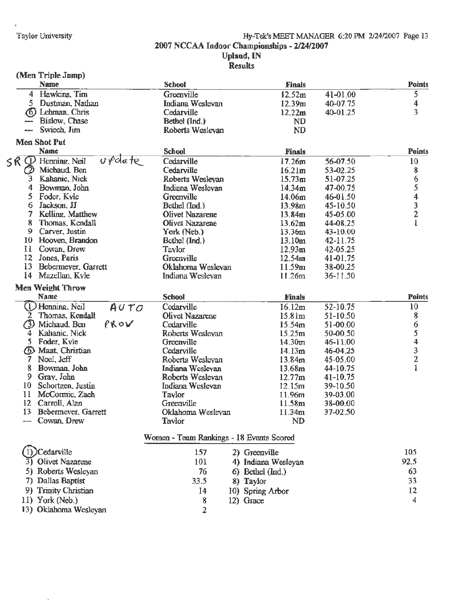$\overline{a}$ 

#### Hy-Tek's MEET MANAGER 6:20 PM 2/24/2007 Page 13 **2007 NCCAA Indoor Championships** - **2/24/2007 Upland, IN Results**

#### **(Men Triple Jump)**

13) Oklahoma Wesleyan

 $\mathbb{Z}$ 

|                     | faren TTThie samh)                     |                                          |                     |              |                                                 |
|---------------------|----------------------------------------|------------------------------------------|---------------------|--------------|-------------------------------------------------|
|                     | <b>Name</b>                            | <b>School</b>                            | <b>Finals</b>       |              | Points                                          |
|                     | 4 Hawkins, Tim                         | Greenville                               | 12.52m              | 41-01.00     | 5                                               |
|                     | 5 Dustman, Nathan                      | Indiana Weslevan                         | 12.39m              | 40-07.75     | 4                                               |
|                     | (6) Lehman Chris                       | Cedarville                               | 12.22m              | 40-01.25     | 3                                               |
|                     | Bislow, Chase                          | Bethel (Ind.)                            | <b>ND</b>           |              |                                                 |
| <b>Hann</b>         | Swiech, Jim                            | Roberts Weslevan                         | <b>ND</b>           |              |                                                 |
| <b>Men Shot Put</b> |                                        |                                          |                     |              |                                                 |
|                     | Name                                   | <b>School</b>                            | <b>Finals</b>       |              | Points                                          |
| SR.<br>O)           | ordate<br>Henning, Neil                | Cedarville                               | 17.26m              | 56-07.50     | 10                                              |
| $\mathcal Q$        | Michaud. Ben                           | Cedarville                               | 16.21 <sub>m</sub>  | 53-02.25     | 8                                               |
| 3                   | Kahanic, Nick                          | Roberts Weslevan                         | 15.73m              | 51-07.25     | 6                                               |
| 4                   | Bowman, John                           | Indiana Weslevan                         | 14.34m              | 47-00.75     |                                                 |
| 5                   | Foder, Kyle                            | Greenville                               | 14.06m              | $46 - 01.50$ |                                                 |
| 6                   | Jackson, JJ                            | Bethel (Ind.)                            | 13.98m              | $45 - 10.50$ | $\begin{array}{c} 5 \\ 4 \\ 3 \\ 2 \end{array}$ |
| 7                   | Kelling, Matthew                       | <b>Olivet Nazarene</b>                   | 13.84m              | 45-05.00     |                                                 |
| 8                   | Thomas, Kendall                        | Olivet Nazarene                          | 13.62m              | 44-08.25     | 1                                               |
| 9.                  | Carver, Justin                         | York (Neb.)                              | 13.36m              | 43-10.00     |                                                 |
|                     | 10 Hooven, Brandon                     | Bethel (Ind.)                            | 13.10m              | 42-11.75     |                                                 |
|                     | 11 Cowan, Drew                         | <b>Taylor</b>                            | 12.93 <sub>m</sub>  | 42-05.25     |                                                 |
|                     | 12 Jones, Paris                        | Greenville                               | 12.54m              | 41-01.75     |                                                 |
|                     | 13 Bebermever, Garrett                 | Oklahoma Weslevan                        | 11.59m              | 38-00.25     |                                                 |
| 14                  | Mazellan, Kyle                         | Indiana Wesleyan                         | 11.26m              | $36 - 11,50$ |                                                 |
|                     |                                        |                                          |                     |              |                                                 |
|                     | <b>Men Weight Throw</b><br><b>Name</b> | <b>School</b>                            | <b>Finals</b>       |              | <b>Points</b>                                   |
|                     | (1) Henning, Neil                      | Cedarville                               | 16.12m              | 52-10.75     | 10                                              |
| 2                   | AUTO<br>Thomas, Kendall                | Olivet Nazarene                          | 15.81m              | 51-10.50     | $\bf{8}$                                        |
|                     | PROV<br>(3) Michaud, Ben               | Cedarville                               |                     | 51-00.00     |                                                 |
| 4                   | Kahanic, Nick                          | Roberts Weslevan                         | 15.54m<br>15.25m    | 50-00.50     |                                                 |
|                     | 5 Foder, Kyle                          | Greenville                               | 14.30m              | 46-11.00     |                                                 |
|                     | 6 Maat, Christian                      | Cedarville                               | 14.13m              | 46-04.25     |                                                 |
| 7.                  | Noel, Jeff                             |                                          |                     |              | 65432                                           |
| 8                   | Bowman, John                           | Roberts Wesleyan                         | 13.84 <sub>m</sub>  | 45-05.00     | $\mathbf{1}$                                    |
| 9                   |                                        | Indiana Wesleyan                         | 13.68m              | 44-10.75     |                                                 |
| 10                  | Gray, John                             | Roberts Weslevan                         | 12.77m              | 41-10.75     |                                                 |
|                     | Schortgen, Justin                      | Indiana Weslevan                         | 12.15m              | 39-10.50     |                                                 |
| 11                  | McCormic, Zach                         | Taylor                                   | 11.96m              | 39-03.00     |                                                 |
| 12                  | Carroll, Alan                          | Greenville                               | 11.58m              | 38-00.00     |                                                 |
| 13                  | Bebermever, Garrett                    | Oklahoma Wesleyan                        | 11.34m              | 37-02.50     |                                                 |
|                     | Cowan, Drew                            | Tavlor                                   | <b>ND</b>           |              |                                                 |
|                     |                                        | Women - Team Rankings - 18 Events Scored |                     |              |                                                 |
|                     | Cedarville                             | 157                                      | 2) Greenville       |              | 105                                             |
| 31                  | <b>Olivet Nazarene</b>                 | 101                                      | 4) Indiana Wesleyan |              | 92.5                                            |
|                     | 5) Roberts Wesleyan                    | 76                                       |                     |              | 63                                              |
|                     |                                        |                                          | 6) Bethel (Ind.)    |              |                                                 |
|                     | 7) Dallas Baptist                      | 33.5                                     | 8) Taylor           |              | 33                                              |
|                     | 9) Trinity Christian                   | 14                                       | 10) Spring Arbor    |              | 12                                              |
|                     | 11) York (Neb.)                        | 8                                        | 12) Grace           |              | 4                                               |

2